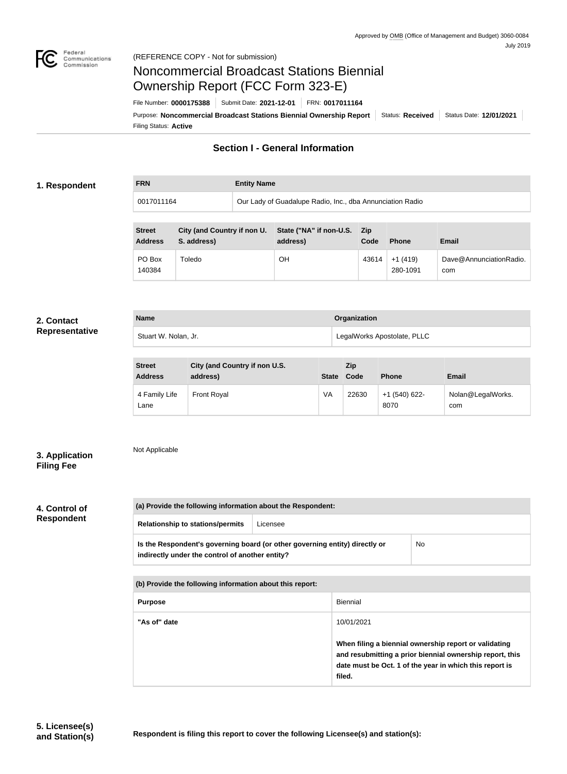

0017011164

# Noncommercial Broadcast Stations Biennial Ownership Report (FCC Form 323-E)

Filing Status: **Active** Purpose: Noncommercial Broadcast Stations Biennial Ownership Report | Status: Received | Status Date: 12/01/2021 File Number: **0000175388** Submit Date: **2021-12-01** FRN: **0017011164**

## **Section I - General Information**

#### **1. Respondent**

**FRN Entity Name**

|  | Our Lady of Guadalupe Radio, Inc., dba Annunciation Radio |
|--|-----------------------------------------------------------|
|--|-----------------------------------------------------------|

| <b>Street</b><br><b>Address</b> | City (and Country if non U.<br>S. address) | State ("NA" if non-U.S. Zip<br>address) | Code  | <b>Phone</b>          | Email                          |
|---------------------------------|--------------------------------------------|-----------------------------------------|-------|-----------------------|--------------------------------|
| PO Box<br>140384                | Toledo                                     | OН                                      | 43614 | $+1(419)$<br>280-1091 | Dave@AnnunciationRadio.<br>com |

#### **2. Contact Representative**

| <b>Name</b>          | Organization                |
|----------------------|-----------------------------|
| Stuart W. Nolan, Jr. | LegalWorks Apostolate, PLLC |

| <b>Street</b><br><b>Address</b> | City (and Country if non U.S.<br>address) | <b>State</b> | Zip<br>Code | <b>Phone</b>            | Email                    |
|---------------------------------|-------------------------------------------|--------------|-------------|-------------------------|--------------------------|
| 4 Family Life<br>Lane           | <b>Front Royal</b>                        | VA           | 22630       | $+1$ (540) 622-<br>8070 | Nolan@LegalWorks.<br>com |

## Not Applicable

**3. Application Filing Fee**

### **4. Control of Respondent**

| (a) Provide the following information about the Respondent:                                                                                 |                                                          |            |  |  |  |
|---------------------------------------------------------------------------------------------------------------------------------------------|----------------------------------------------------------|------------|--|--|--|
| <b>Relationship to stations/permits</b>                                                                                                     | Licensee                                                 |            |  |  |  |
| <b>No</b><br>Is the Respondent's governing board (or other governing entity) directly or<br>indirectly under the control of another entity? |                                                          |            |  |  |  |
|                                                                                                                                             | (b) Provide the following information about this report: |            |  |  |  |
| <b>Biennial</b><br><b>Purpose</b>                                                                                                           |                                                          |            |  |  |  |
| "As of" date                                                                                                                                |                                                          | 10/01/2021 |  |  |  |

**When filing a biennial ownership report or validating and resubmitting a prior biennial ownership report, this date must be Oct. 1 of the year in which this report is filed.**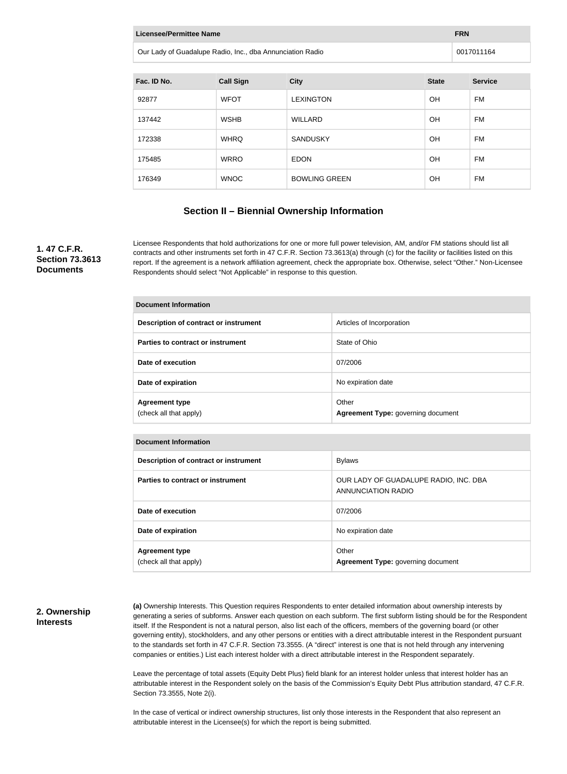| Licensee/Permittee Name<br><b>FRN</b>                     |                  |                 |              |                |  |
|-----------------------------------------------------------|------------------|-----------------|--------------|----------------|--|
| Our Lady of Guadalupe Radio, Inc., dba Annunciation Radio |                  |                 |              | 0017011164     |  |
|                                                           |                  |                 |              |                |  |
| Fac. ID No.                                               | <b>Call Sign</b> | <b>City</b>     | <b>State</b> | <b>Service</b> |  |
| ດລວ <del>77</del>                                         | METAT            | <b>EVINCTON</b> | ∩⊔           | ᄃᄿ             |  |

| 92877  | <b>WFOT</b> | <b>LEXINGTON</b>     | <b>OH</b> | FM |
|--------|-------------|----------------------|-----------|----|
| 137442 | <b>WSHB</b> | <b>WILLARD</b>       | <b>OH</b> | FM |
| 172338 | <b>WHRQ</b> | <b>SANDUSKY</b>      | OH        | FM |
| 175485 | <b>WRRO</b> | <b>EDON</b>          | <b>OH</b> | FM |
| 176349 | <b>WNOC</b> | <b>BOWLING GREEN</b> | <b>OH</b> | FM |

#### **Section II – Biennial Ownership Information**

#### **1. 47 C.F.R. Section 73.3613 Documents**

**Document Information**

Licensee Respondents that hold authorizations for one or more full power television, AM, and/or FM stations should list all contracts and other instruments set forth in 47 C.F.R. Section 73.3613(a) through (c) for the facility or facilities listed on this report. If the agreement is a network affiliation agreement, check the appropriate box. Otherwise, select "Other." Non-Licensee Respondents should select "Not Applicable" in response to this question.

| <b>Document Information</b>                     |                                             |  |  |
|-------------------------------------------------|---------------------------------------------|--|--|
| Description of contract or instrument           | Articles of Incorporation                   |  |  |
| Parties to contract or instrument               | State of Ohio                               |  |  |
| Date of execution                               | 07/2006                                     |  |  |
| Date of expiration                              | No expiration date                          |  |  |
| <b>Agreement type</b><br>(check all that apply) | Other<br>Agreement Type: governing document |  |  |

| <b>Document Information</b>                     |                                                             |
|-------------------------------------------------|-------------------------------------------------------------|
| Description of contract or instrument           | <b>Bylaws</b>                                               |
| Parties to contract or instrument               | OUR LADY OF GUADALUPE RADIO, INC. DBA<br>ANNUNCIATION RADIO |
| Date of execution                               | 07/2006                                                     |
| Date of expiration                              | No expiration date                                          |
| <b>Agreement type</b><br>(check all that apply) | Other<br>Agreement Type: governing document                 |

#### **2. Ownership Interests**

**(a)** Ownership Interests. This Question requires Respondents to enter detailed information about ownership interests by generating a series of subforms. Answer each question on each subform. The first subform listing should be for the Respondent itself. If the Respondent is not a natural person, also list each of the officers, members of the governing board (or other governing entity), stockholders, and any other persons or entities with a direct attributable interest in the Respondent pursuant to the standards set forth in 47 C.F.R. Section 73.3555. (A "direct" interest is one that is not held through any intervening companies or entities.) List each interest holder with a direct attributable interest in the Respondent separately.

Leave the percentage of total assets (Equity Debt Plus) field blank for an interest holder unless that interest holder has an attributable interest in the Respondent solely on the basis of the Commission's Equity Debt Plus attribution standard, 47 C.F.R. Section 73.3555, Note 2(i).

In the case of vertical or indirect ownership structures, list only those interests in the Respondent that also represent an attributable interest in the Licensee(s) for which the report is being submitted.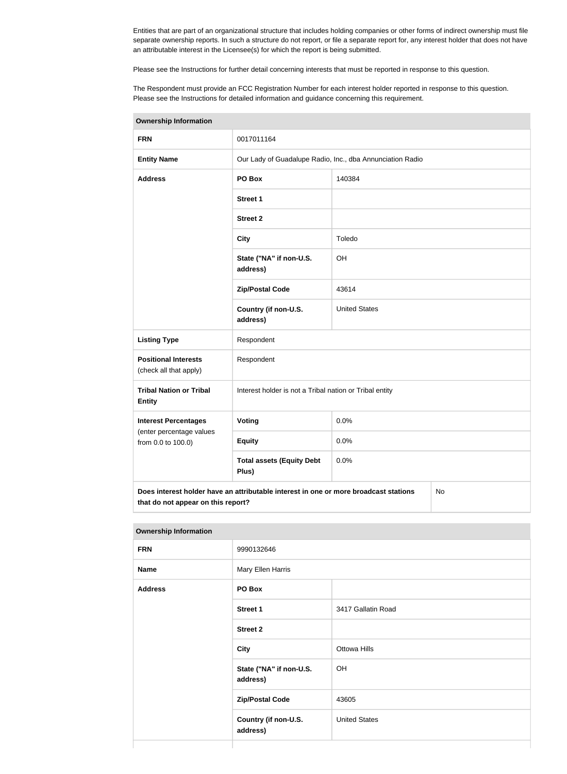Entities that are part of an organizational structure that includes holding companies or other forms of indirect ownership must file separate ownership reports. In such a structure do not report, or file a separate report for, any interest holder that does not have an attributable interest in the Licensee(s) for which the report is being submitted.

Please see the Instructions for further detail concerning interests that must be reported in response to this question.

The Respondent must provide an FCC Registration Number for each interest holder reported in response to this question. Please see the Instructions for detailed information and guidance concerning this requirement.

| <b>Ownership Information</b>                          |                                                                                      |                                                           |    |  |
|-------------------------------------------------------|--------------------------------------------------------------------------------------|-----------------------------------------------------------|----|--|
| <b>FRN</b>                                            | 0017011164                                                                           |                                                           |    |  |
| <b>Entity Name</b>                                    |                                                                                      | Our Lady of Guadalupe Radio, Inc., dba Annunciation Radio |    |  |
| <b>Address</b>                                        | PO Box                                                                               | 140384                                                    |    |  |
|                                                       | <b>Street 1</b>                                                                      |                                                           |    |  |
|                                                       | <b>Street 2</b>                                                                      |                                                           |    |  |
|                                                       | <b>City</b>                                                                          | Toledo                                                    |    |  |
|                                                       | State ("NA" if non-U.S.<br>address)                                                  | OH                                                        |    |  |
|                                                       | <b>Zip/Postal Code</b>                                                               | 43614                                                     |    |  |
|                                                       | Country (if non-U.S.<br>address)                                                     | <b>United States</b>                                      |    |  |
| <b>Listing Type</b>                                   | Respondent                                                                           |                                                           |    |  |
| <b>Positional Interests</b><br>(check all that apply) | Respondent                                                                           |                                                           |    |  |
| <b>Tribal Nation or Tribal</b><br><b>Entity</b>       | Interest holder is not a Tribal nation or Tribal entity                              |                                                           |    |  |
| <b>Interest Percentages</b>                           | <b>Voting</b>                                                                        | 0.0%                                                      |    |  |
| (enter percentage values<br>from 0.0 to 100.0)        | <b>Equity</b>                                                                        | 0.0%                                                      |    |  |
|                                                       | <b>Total assets (Equity Debt</b><br>Plus)                                            | 0.0%                                                      |    |  |
| that do not appear on this report?                    | Does interest holder have an attributable interest in one or more broadcast stations |                                                           | No |  |

| <b>Ownership Information</b> |                                     |                      |  |
|------------------------------|-------------------------------------|----------------------|--|
| <b>FRN</b>                   | 9990132646                          |                      |  |
| <b>Name</b>                  | Mary Ellen Harris                   |                      |  |
| <b>Address</b>               | PO Box                              |                      |  |
|                              | <b>Street 1</b>                     | 3417 Gallatin Road   |  |
|                              | <b>Street 2</b>                     |                      |  |
|                              | <b>City</b>                         | <b>Ottowa Hills</b>  |  |
|                              | State ("NA" if non-U.S.<br>address) | OH                   |  |
|                              | <b>Zip/Postal Code</b>              | 43605                |  |
|                              | Country (if non-U.S.<br>address)    | <b>United States</b> |  |
|                              |                                     |                      |  |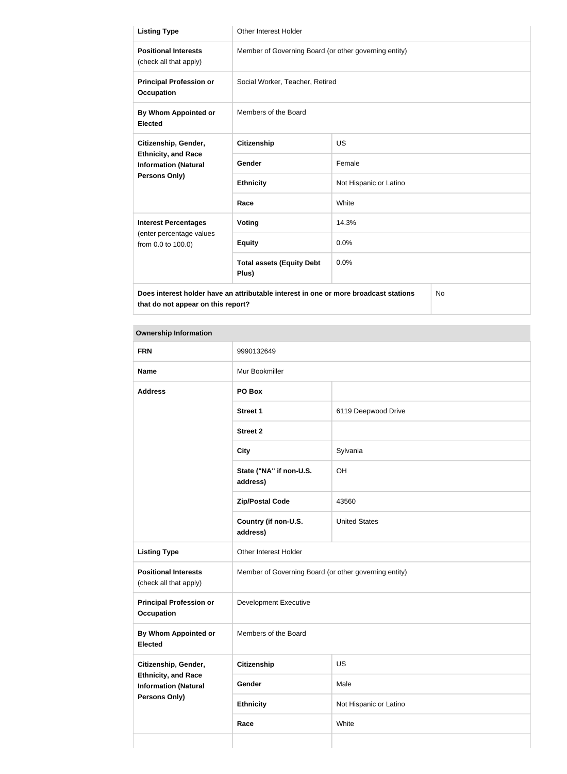| <b>Listing Type</b>                                                               | <b>Other Interest Holder</b>                                                         |                        |     |
|-----------------------------------------------------------------------------------|--------------------------------------------------------------------------------------|------------------------|-----|
| <b>Positional Interests</b><br>(check all that apply)                             | Member of Governing Board (or other governing entity)                                |                        |     |
| <b>Principal Profession or</b><br><b>Occupation</b>                               | Social Worker, Teacher, Retired                                                      |                        |     |
| By Whom Appointed or<br><b>Elected</b>                                            | Members of the Board                                                                 |                        |     |
| Citizenship, Gender,<br><b>Ethnicity, and Race</b><br><b>Information (Natural</b> | <b>Citizenship</b>                                                                   | <b>US</b>              |     |
|                                                                                   | Gender                                                                               | Female                 |     |
| Persons Only)                                                                     | <b>Ethnicity</b>                                                                     | Not Hispanic or Latino |     |
|                                                                                   | Race                                                                                 | White                  |     |
| <b>Interest Percentages</b>                                                       | Voting                                                                               | 14.3%                  |     |
| (enter percentage values<br>from 0.0 to 100.0)                                    | <b>Equity</b>                                                                        | 0.0%                   |     |
|                                                                                   | <b>Total assets (Equity Debt</b><br>Plus)                                            | 0.0%                   |     |
|                                                                                   | Does interest holder have an attributable interest in one or more broadcast stations |                        | No. |

**that do not appear on this report?**

## **Ownership Information FRN** 9990132649 **Name** Mur Bookmiller **Address PO Box Street 1** 6119 Deepwood Drive **Street 2 City** Sylvania **State ("NA" if non-U.S. address)** OH **Zip/Postal Code** 43560 **Country (if non-U.S. address)** United States Listing Type **Conservant Conservant Conservant Conservant Conservant Conservant Conservant Conservant Conservant Positional Interests** (check all that apply) Member of Governing Board (or other governing entity) **Principal Profession or Occupation** Development Executive **By Whom Appointed or Elected** Members of the Board **Citizenship, Gender, Ethnicity, and Race Information (Natural Persons Only) Citizenship** US Gender Male **Ethnicity** Not Hispanic or Latino **Race** White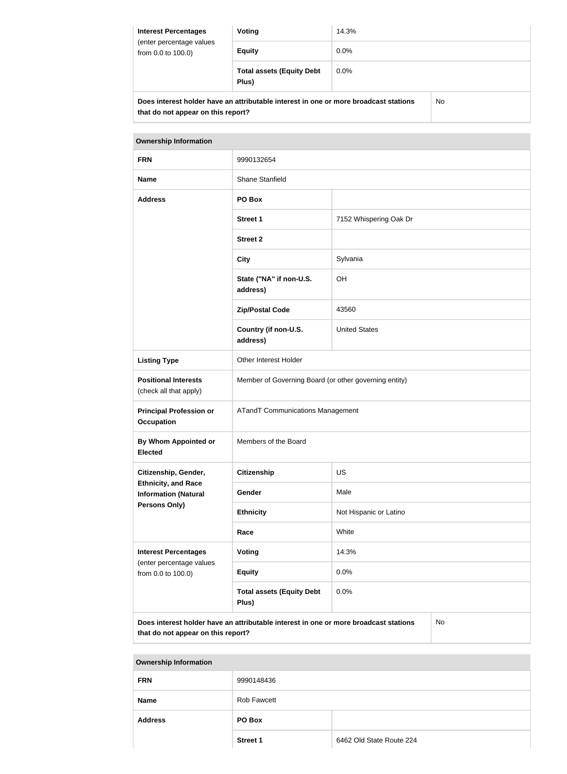| <b>Interest Percentages</b><br>(enter percentage values<br>from 0.0 to 100.0) | Voting                                                                               | 14.3%   |    |
|-------------------------------------------------------------------------------|--------------------------------------------------------------------------------------|---------|----|
|                                                                               | <b>Equity</b>                                                                        | $0.0\%$ |    |
|                                                                               | <b>Total assets (Equity Debt</b><br>Plus)                                            | $0.0\%$ |    |
|                                                                               | Does interest holder have an attributable interest in one or more broadcast stations |         | No |

**that do not appear on this report?**

| <b>Ownership Information</b>                              |                                                                                      |                        |    |
|-----------------------------------------------------------|--------------------------------------------------------------------------------------|------------------------|----|
| <b>FRN</b>                                                | 9990132654                                                                           |                        |    |
| <b>Name</b>                                               | Shane Stanfield                                                                      |                        |    |
| <b>Address</b>                                            | PO Box                                                                               |                        |    |
|                                                           | <b>Street 1</b>                                                                      | 7152 Whispering Oak Dr |    |
|                                                           | <b>Street 2</b>                                                                      |                        |    |
|                                                           | <b>City</b>                                                                          | Sylvania               |    |
|                                                           | State ("NA" if non-U.S.<br>address)                                                  | OH                     |    |
|                                                           | <b>Zip/Postal Code</b>                                                               | 43560                  |    |
|                                                           | Country (if non-U.S.<br>address)                                                     | <b>United States</b>   |    |
| <b>Listing Type</b>                                       | Other Interest Holder                                                                |                        |    |
| <b>Positional Interests</b><br>(check all that apply)     | Member of Governing Board (or other governing entity)                                |                        |    |
| <b>Principal Profession or</b><br><b>Occupation</b>       | <b>ATandT Communications Management</b>                                              |                        |    |
| <b>By Whom Appointed or</b><br><b>Elected</b>             | Members of the Board                                                                 |                        |    |
| Citizenship, Gender,                                      | <b>Citizenship</b>                                                                   | <b>US</b>              |    |
| <b>Ethnicity, and Race</b><br><b>Information (Natural</b> | Gender                                                                               | Male                   |    |
| Persons Only)                                             | <b>Ethnicity</b>                                                                     | Not Hispanic or Latino |    |
|                                                           | Race                                                                                 | White                  |    |
| <b>Interest Percentages</b>                               | Voting                                                                               | 14.3%                  |    |
| (enter percentage values<br>from 0.0 to 100.0)            | <b>Equity</b>                                                                        | 0.0%                   |    |
|                                                           | <b>Total assets (Equity Debt</b><br>Plus)                                            | 0.0%                   |    |
|                                                           | Does interest holder have an attributable interest in one or more broadcast stations |                        | No |

**that do not appear on this report?**

| <b>Ownership Information</b> |                 |                          |
|------------------------------|-----------------|--------------------------|
| <b>FRN</b>                   | 9990148436      |                          |
| <b>Name</b>                  | Rob Fawcett     |                          |
| <b>Address</b>               | PO Box          |                          |
|                              | <b>Street 1</b> | 6462 Old State Route 224 |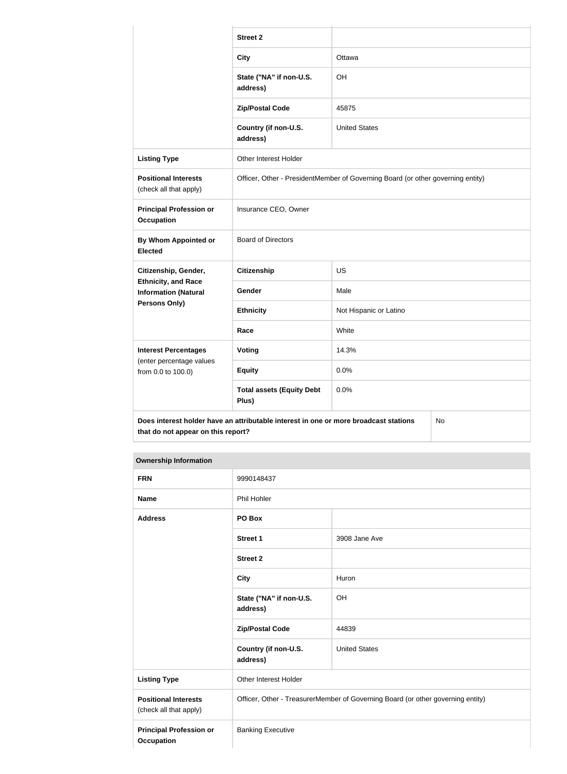|                                                           | <b>Street 2</b>                                                                      |                        |    |
|-----------------------------------------------------------|--------------------------------------------------------------------------------------|------------------------|----|
|                                                           | <b>City</b>                                                                          | Ottawa                 |    |
|                                                           | State ("NA" if non-U.S.<br>address)                                                  | OH                     |    |
|                                                           | <b>Zip/Postal Code</b>                                                               | 45875                  |    |
|                                                           | Country (if non-U.S.<br>address)                                                     | <b>United States</b>   |    |
| <b>Listing Type</b>                                       | Other Interest Holder                                                                |                        |    |
| <b>Positional Interests</b><br>(check all that apply)     | Officer, Other - PresidentMember of Governing Board (or other governing entity)      |                        |    |
| <b>Principal Profession or</b><br><b>Occupation</b>       | Insurance CEO, Owner                                                                 |                        |    |
| <b>By Whom Appointed or</b><br><b>Elected</b>             | <b>Board of Directors</b>                                                            |                        |    |
| Citizenship, Gender,                                      | <b>Citizenship</b>                                                                   | <b>US</b>              |    |
| <b>Ethnicity, and Race</b><br><b>Information (Natural</b> | Gender                                                                               | Male                   |    |
| <b>Persons Only)</b>                                      | <b>Ethnicity</b>                                                                     | Not Hispanic or Latino |    |
|                                                           | Race                                                                                 | White                  |    |
| <b>Interest Percentages</b>                               | Voting                                                                               | 14.3%                  |    |
| (enter percentage values<br>from 0.0 to 100.0)            | <b>Equity</b>                                                                        | 0.0%                   |    |
|                                                           | <b>Total assets (Equity Debt</b><br>Plus)                                            | 0.0%                   |    |
| that do not appear on this report?                        | Does interest holder have an attributable interest in one or more broadcast stations |                        | No |

#### **Ownership Information**

| <b>FRN</b>                                            | 9990148437                                                                      |                      |
|-------------------------------------------------------|---------------------------------------------------------------------------------|----------------------|
| <b>Name</b>                                           | Phil Hohler                                                                     |                      |
| <b>Address</b>                                        | PO Box                                                                          |                      |
|                                                       | <b>Street 1</b>                                                                 | 3908 Jane Ave        |
|                                                       | <b>Street 2</b>                                                                 |                      |
|                                                       | <b>City</b>                                                                     | Huron                |
|                                                       | State ("NA" if non-U.S.<br>address)                                             | OH                   |
|                                                       | <b>Zip/Postal Code</b>                                                          | 44839                |
|                                                       | Country (if non-U.S.<br>address)                                                | <b>United States</b> |
| <b>Listing Type</b>                                   | Other Interest Holder                                                           |                      |
| <b>Positional Interests</b><br>(check all that apply) | Officer, Other - TreasurerMember of Governing Board (or other governing entity) |                      |
| <b>Principal Profession or</b><br><b>Occupation</b>   | <b>Banking Executive</b>                                                        |                      |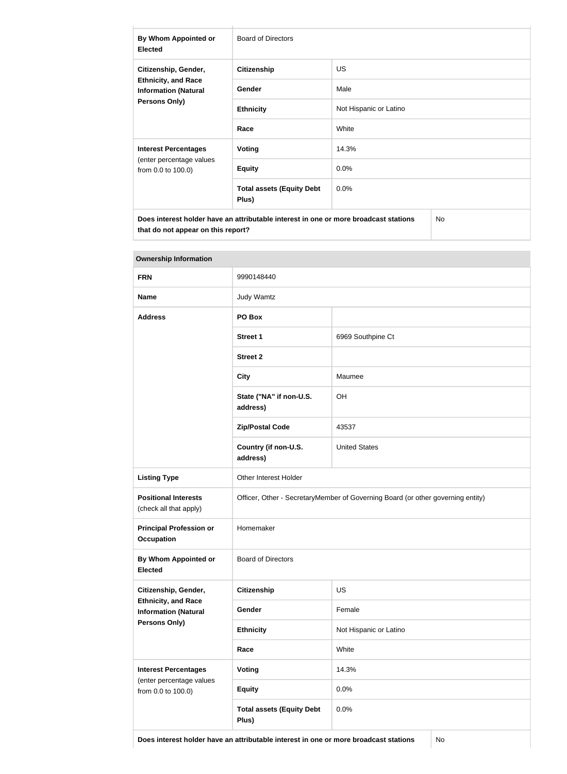| By Whom Appointed or<br><b>Elected</b>                                                     | <b>Board of Directors</b>                 |                        |  |
|--------------------------------------------------------------------------------------------|-------------------------------------------|------------------------|--|
| Citizenship, Gender,                                                                       | <b>Citizenship</b>                        | US.                    |  |
| <b>Ethnicity, and Race</b><br><b>Information (Natural</b>                                  | Gender                                    | Male                   |  |
| <b>Persons Only)</b>                                                                       | <b>Ethnicity</b>                          | Not Hispanic or Latino |  |
|                                                                                            | Race                                      | White                  |  |
| <b>Interest Percentages</b>                                                                | Voting                                    | 14.3%                  |  |
| (enter percentage values<br>from 0.0 to 100.0)                                             | <b>Equity</b>                             | 0.0%                   |  |
|                                                                                            | <b>Total assets (Equity Debt</b><br>Plus) | 0.0%                   |  |
| Does interest holder have an attributable interest in one or more broadcast stations<br>No |                                           |                        |  |

| <b>Ownership Information</b>                              |                                                                                 |                        |  |
|-----------------------------------------------------------|---------------------------------------------------------------------------------|------------------------|--|
| <b>FRN</b>                                                | 9990148440                                                                      |                        |  |
| <b>Name</b>                                               | <b>Judy Wamtz</b>                                                               |                        |  |
| <b>Address</b>                                            | PO Box                                                                          |                        |  |
|                                                           | <b>Street 1</b>                                                                 | 6969 Southpine Ct      |  |
|                                                           | <b>Street 2</b>                                                                 |                        |  |
|                                                           | <b>City</b>                                                                     | Maumee                 |  |
|                                                           | State ("NA" if non-U.S.<br>address)                                             | OH                     |  |
|                                                           | <b>Zip/Postal Code</b>                                                          | 43537                  |  |
|                                                           | Country (if non-U.S.<br>address)                                                | <b>United States</b>   |  |
| <b>Listing Type</b>                                       | Other Interest Holder                                                           |                        |  |
| <b>Positional Interests</b><br>(check all that apply)     | Officer, Other - SecretaryMember of Governing Board (or other governing entity) |                        |  |
| <b>Principal Profession or</b><br><b>Occupation</b>       | Homemaker                                                                       |                        |  |
| <b>By Whom Appointed or</b><br><b>Elected</b>             | <b>Board of Directors</b>                                                       |                        |  |
| Citizenship, Gender,                                      | <b>Citizenship</b>                                                              | US                     |  |
| <b>Ethnicity, and Race</b><br><b>Information (Natural</b> | Gender                                                                          | Female                 |  |
| <b>Persons Only)</b>                                      | <b>Ethnicity</b>                                                                | Not Hispanic or Latino |  |
|                                                           | Race                                                                            | White                  |  |
| <b>Interest Percentages</b>                               | <b>Voting</b>                                                                   | 14.3%                  |  |
| (enter percentage values<br>from 0.0 to 100.0)            | <b>Equity</b>                                                                   | 0.0%                   |  |
|                                                           | <b>Total assets (Equity Debt</b><br>Plus)                                       | 0.0%                   |  |

**that do not appear on this report?**

**Does interest holder have an attributable interest in one or more broadcast stations** No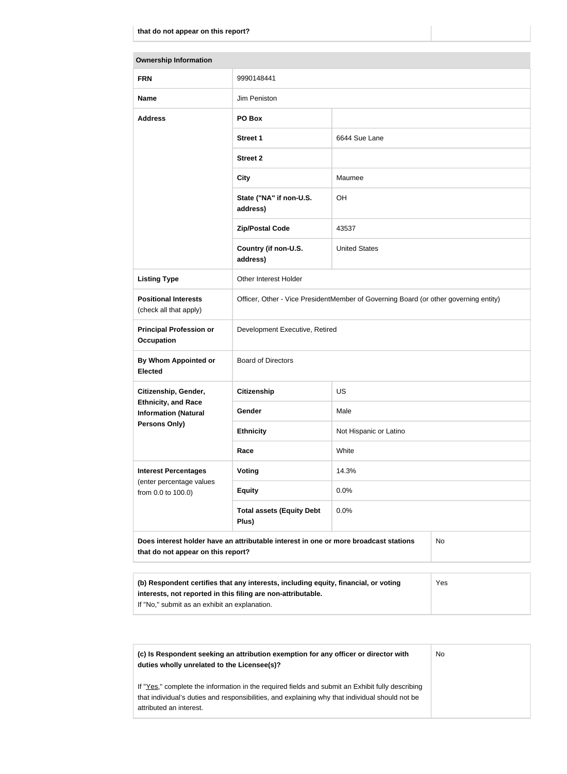| <b>Ownership Information</b>                                                                                                            |                                                                                      |                        |  |
|-----------------------------------------------------------------------------------------------------------------------------------------|--------------------------------------------------------------------------------------|------------------------|--|
| <b>FRN</b>                                                                                                                              | 9990148441                                                                           |                        |  |
| <b>Name</b>                                                                                                                             | Jim Peniston                                                                         |                        |  |
| <b>Address</b>                                                                                                                          | PO Box                                                                               |                        |  |
|                                                                                                                                         | <b>Street 1</b>                                                                      | 6644 Sue Lane          |  |
|                                                                                                                                         | <b>Street 2</b>                                                                      |                        |  |
|                                                                                                                                         | <b>City</b>                                                                          | Maumee                 |  |
|                                                                                                                                         | State ("NA" if non-U.S.<br>address)                                                  | OH                     |  |
|                                                                                                                                         | <b>Zip/Postal Code</b>                                                               | 43537                  |  |
|                                                                                                                                         | Country (if non-U.S.<br>address)                                                     | <b>United States</b>   |  |
| <b>Listing Type</b>                                                                                                                     | Other Interest Holder                                                                |                        |  |
| <b>Positional Interests</b><br>(check all that apply)                                                                                   | Officer, Other - Vice PresidentMember of Governing Board (or other governing entity) |                        |  |
| <b>Principal Profession or</b><br><b>Occupation</b>                                                                                     | Development Executive, Retired                                                       |                        |  |
| By Whom Appointed or<br><b>Elected</b>                                                                                                  | <b>Board of Directors</b>                                                            |                        |  |
| Citizenship, Gender,                                                                                                                    | <b>Citizenship</b>                                                                   | <b>US</b>              |  |
| <b>Ethnicity, and Race</b><br><b>Information (Natural</b>                                                                               | Gender                                                                               | Male                   |  |
| Persons Only)                                                                                                                           | <b>Ethnicity</b>                                                                     | Not Hispanic or Latino |  |
|                                                                                                                                         | Race                                                                                 | White                  |  |
| <b>Interest Percentages</b><br>(enter percentage values                                                                                 | <b>Voting</b>                                                                        | 14.3%                  |  |
| from 0.0 to 100.0)                                                                                                                      | <b>Equity</b>                                                                        | 0.0%                   |  |
|                                                                                                                                         | <b>Total assets (Equity Debt</b><br>Plus)                                            | 0.0%                   |  |
| Does interest holder have an attributable interest in one or more broadcast stations<br><b>No</b><br>that do not appear on this report? |                                                                                      |                        |  |
|                                                                                                                                         |                                                                                      |                        |  |

| (b) Respondent certifies that any interests, including equity, financial, or voting | Yes |
|-------------------------------------------------------------------------------------|-----|
| interests, not reported in this filing are non-attributable.                        |     |
| If "No," submit as an exhibit an explanation.                                       |     |

| (c) Is Respondent seeking an attribution exemption for any officer or director with<br>duties wholly unrelated to the Licensee(s)?                                                                                             | N <sub>o</sub> |
|--------------------------------------------------------------------------------------------------------------------------------------------------------------------------------------------------------------------------------|----------------|
| If "Yes," complete the information in the required fields and submit an Exhibit fully describing<br>that individual's duties and responsibilities, and explaining why that individual should not be<br>attributed an interest. |                |